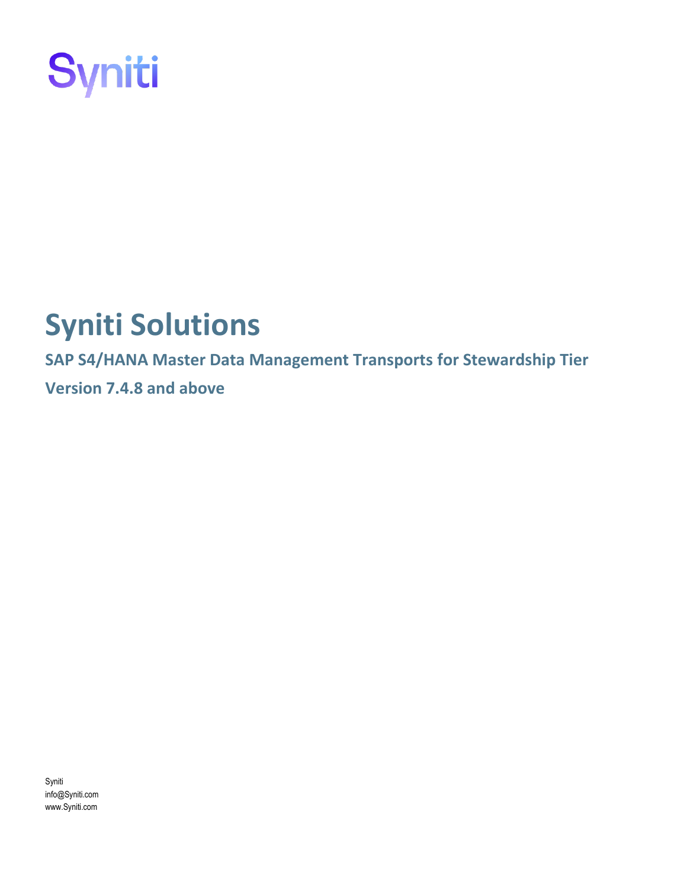

# **Syniti Solutions**

**SAP S4/HANA Master Data Management Transports for Stewardship Tier Version 7.4.8 and above**

Syniti info@Syniti.com www.Syniti.com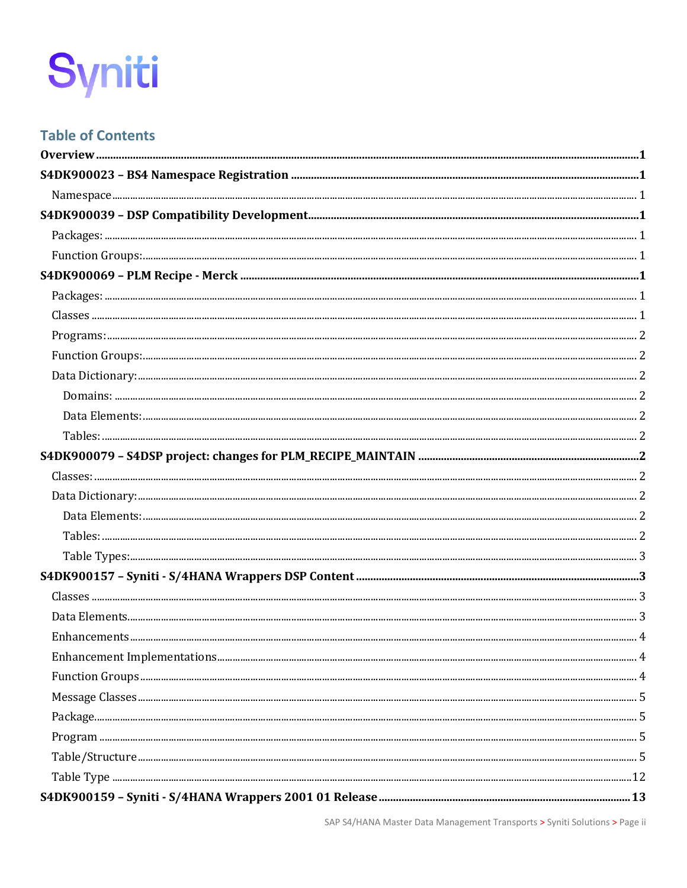# **Table of Contents**

SAP S4/HANA Master Data Management Transports > Syniti Solutions > Page ii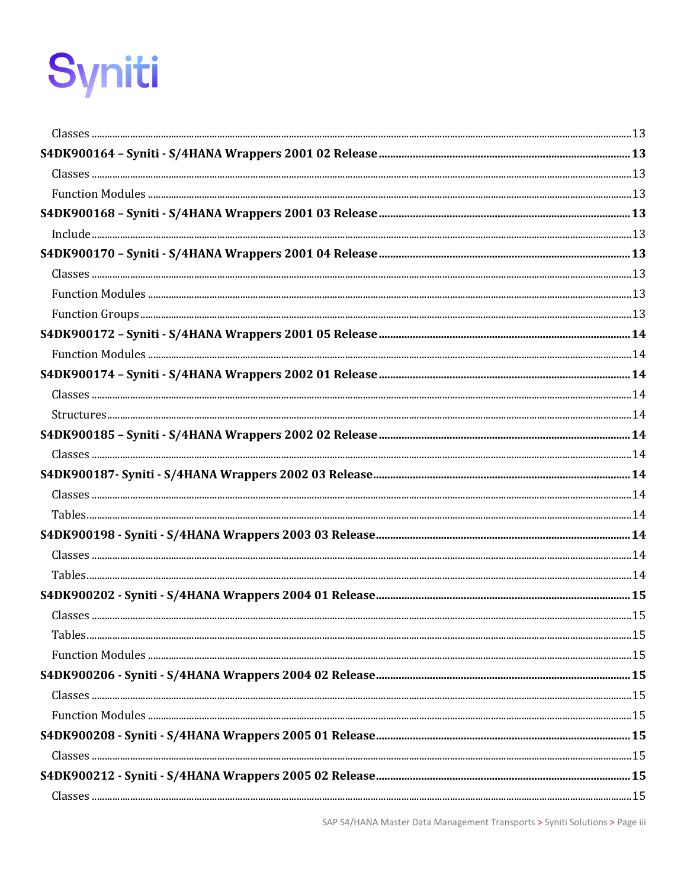| $Table 5.15$ |  |
|--------------|--|
|              |  |
|              |  |
|              |  |
|              |  |
|              |  |
|              |  |
|              |  |
|              |  |
|              |  |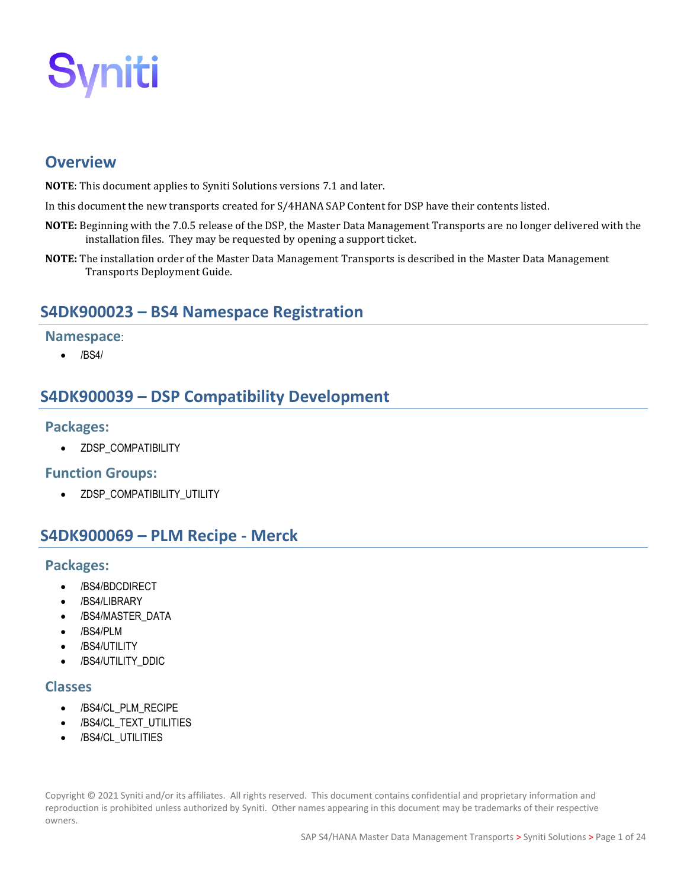# <span id="page-6-0"></span>**Overview**

- **NOTE**: This document applies to Syniti Solutions versions 7.1 and later.
- In this document the new transports created for S/4HANA SAP Content for DSP have their contents listed.
- **NOTE:** Beginning with the 7.0.5 release of the DSP, the Master Data Management Transports are no longer delivered with the installation files. They may be requested by opening a support ticket.
- **NOTE:** The installation order of the Master Data Management Transports is described in the Master Data Management Transports Deployment Guide.

# <span id="page-6-1"></span>**S4DK900023 – BS4 Namespace Registration**

#### <span id="page-6-2"></span>**Namespace**:

• /BS4/

# <span id="page-6-3"></span>**S4DK900039 – DSP Compatibility Development**

#### <span id="page-6-4"></span>**Packages:**

• ZDSP\_COMPATIBILITY

#### <span id="page-6-5"></span>**Function Groups:**

• ZDSP\_COMPATIBILITY\_UTILITY

# <span id="page-6-6"></span>**S4DK900069 – PLM Recipe - Merck**

#### <span id="page-6-7"></span>**Packages:**

- /BS4/BDCDIRECT
- /BS4/LIBRARY
- /BS4/MASTER\_DATA
- /BS4/PLM
- /BS4/UTILITY
- /BS4/UTILITY\_DDIC

#### <span id="page-6-8"></span>**Classes**

- /BS4/CL\_PLM\_RECIPE
- /BS4/CL\_TEXT\_UTILITIES
- /BS4/CL\_UTILITIES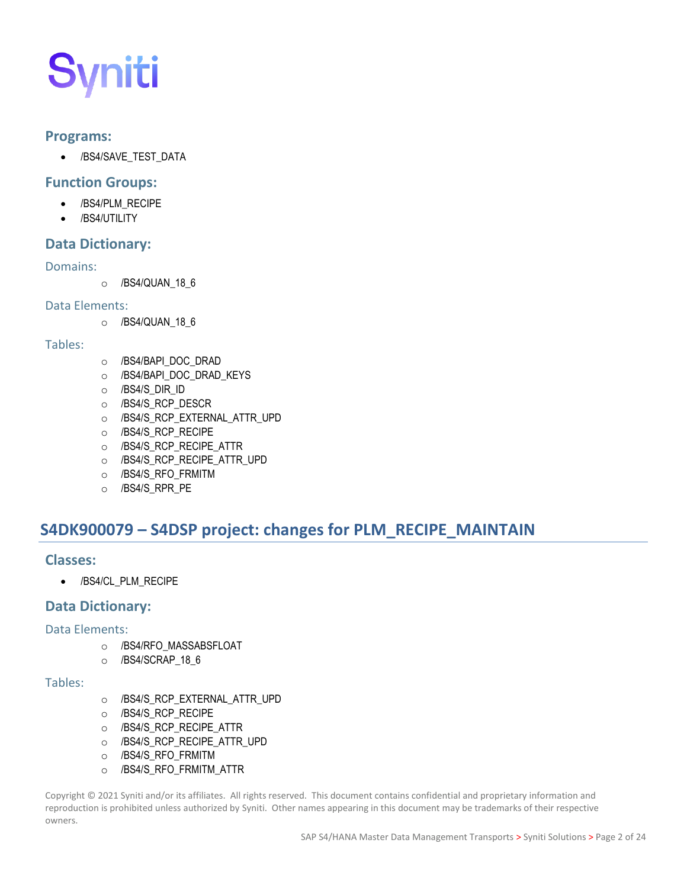#### <span id="page-7-0"></span>**Programs:**

• /BS4/SAVE\_TEST\_DATA

#### <span id="page-7-1"></span>**Function Groups:**

- /BS4/PLM\_RECIPE
	- /BS4/UTILITY

#### <span id="page-7-2"></span>**Data Dictionary:**

#### <span id="page-7-3"></span>Domains:

o /BS4/QUAN 18 6

#### <span id="page-7-4"></span>Data Elements:

o /BS4/QUAN\_18\_6

#### <span id="page-7-5"></span>Tables:

- o /BS4/BAPI\_DOC\_DRAD
- o /BS4/BAPI\_DOC\_DRAD\_KEYS
- o /BS4/S\_DIR\_ID
- o /BS4/S\_RCP\_DESCR
- o /BS4/S\_RCP\_EXTERNAL\_ATTR\_UPD
- o /BS4/S\_RCP\_RECIPE
- o /BS4/S\_RCP\_RECIPE\_ATTR
- o /BS4/S\_RCP\_RECIPE\_ATTR\_UPD
- o /BS4/S\_RFO\_FRMITM
- o /BS4/S\_RPR\_PE

# <span id="page-7-6"></span>**S4DK900079 – S4DSP project: changes for PLM\_RECIPE\_MAINTAIN**

#### <span id="page-7-7"></span>**Classes:**

• /BS4/CL\_PLM\_RECIPE

#### <span id="page-7-8"></span>**Data Dictionary:**

#### <span id="page-7-9"></span>Data Elements:

- o /BS4/RFO\_MASSABSFLOAT
- o /BS4/SCRAP\_18\_6

#### <span id="page-7-10"></span>Tables:

- o /BS4/S\_RCP\_EXTERNAL\_ATTR\_UPD
- o /BS4/S\_RCP\_RECIPE
- o /BS4/S\_RCP\_RECIPE\_ATTR
- o /BS4/S\_RCP\_RECIPE\_ATTR\_UPD
- o /BS4/S\_RFO\_FRMITM
- o /BS4/S\_RFO\_FRMITM\_ATTR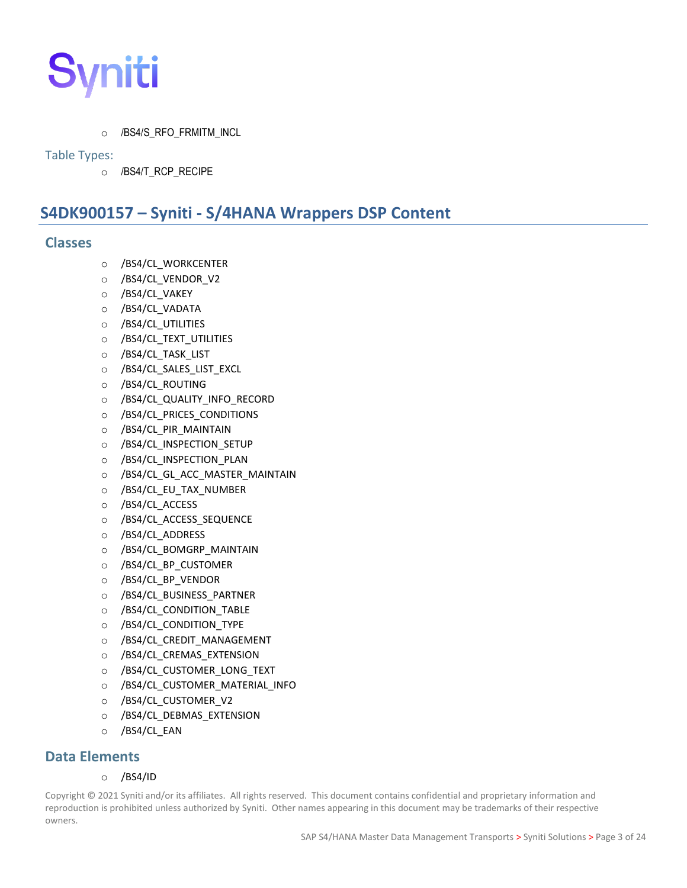

o /BS4/S\_RFO\_FRMITM\_INCL

#### <span id="page-8-0"></span>Table Types:

o /BS4/T\_RCP\_RECIPE

# <span id="page-8-1"></span>**S4DK900157 – Syniti - S/4HANA Wrappers DSP Content**

#### <span id="page-8-2"></span>**Classes**

- o /BS4/CL\_WORKCENTER
- o /BS4/CL\_VENDOR\_V2
- o /BS4/CL\_VAKEY
- o /BS4/CL\_VADATA
- o /BS4/CL\_UTILITIES
- o /BS4/CL\_TEXT\_UTILITIES
- o /BS4/CL\_TASK\_LIST
- o /BS4/CL\_SALES\_LIST\_EXCL
- o /BS4/CL\_ROUTING
- o /BS4/CL\_QUALITY\_INFO\_RECORD
- o /BS4/CL\_PRICES\_CONDITIONS
- $\circ$  /BS4/CL\_PIR\_MAINTAIN
- o /BS4/CL\_INSPECTION\_SETUP
- o /BS4/CL\_INSPECTION\_PLAN
- o /BS4/CL\_GL\_ACC\_MASTER\_MAINTAIN
- o /BS4/CL\_EU\_TAX\_NUMBER
- o /BS4/CL\_ACCESS
- o /BS4/CL\_ACCESS\_SEQUENCE
- o /BS4/CL\_ADDRESS
- o /BS4/CL\_BOMGRP\_MAINTAIN
- o /BS4/CL\_BP\_CUSTOMER
- o /BS4/CL\_BP\_VENDOR
- o /BS4/CL\_BUSINESS\_PARTNER
- o /BS4/CL\_CONDITION\_TABLE
- o /BS4/CL\_CONDITION\_TYPE
- o /BS4/CL\_CREDIT\_MANAGEMENT
- o /BS4/CL\_CREMAS\_EXTENSION
- o /BS4/CL\_CUSTOMER\_LONG\_TEXT
- o /BS4/CL\_CUSTOMER\_MATERIAL\_INFO
- o /BS4/CL\_CUSTOMER\_V2
- o /BS4/CL\_DEBMAS\_EXTENSION
- o /BS4/CL\_EAN

#### <span id="page-8-3"></span>**Data Elements**

#### o /BS4/ID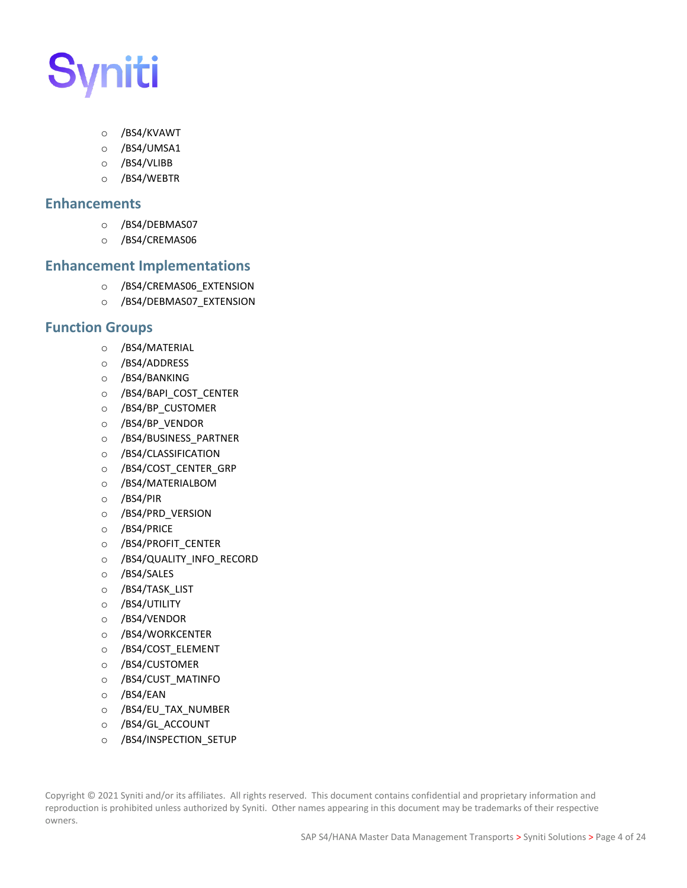- o /BS4/KVAWT
- o /BS4/UMSA1
- o /BS4/VLIBB
- o /BS4/WEBTR

#### <span id="page-9-0"></span>**Enhancements**

- o /BS4/DEBMAS07
- o /BS4/CREMAS06

#### <span id="page-9-1"></span>**Enhancement Implementations**

- o /BS4/CREMAS06\_EXTENSION
- o /BS4/DEBMAS07\_EXTENSION

#### <span id="page-9-2"></span>**Function Groups**

- o /BS4/MATERIAL
- o /BS4/ADDRESS
- o /BS4/BANKING
- o /BS4/BAPI\_COST\_CENTER
- o /BS4/BP\_CUSTOMER
- o /BS4/BP\_VENDOR
- o /BS4/BUSINESS\_PARTNER
- o /BS4/CLASSIFICATION
- o /BS4/COST\_CENTER\_GRP
- o /BS4/MATERIALBOM
- o /BS4/PIR
- o /BS4/PRD\_VERSION
- o /BS4/PRICE
- o /BS4/PROFIT\_CENTER
- o /BS4/QUALITY\_INFO\_RECORD
- o /BS4/SALES
- o /BS4/TASK\_LIST
- o /BS4/UTILITY
- o /BS4/VENDOR
- o /BS4/WORKCENTER
- o /BS4/COST\_ELEMENT
- o /BS4/CUSTOMER
- o /BS4/CUST\_MATINFO
- o /BS4/EAN
- o /BS4/EU\_TAX\_NUMBER
- o /BS4/GL\_ACCOUNT
- o /BS4/INSPECTION\_SETUP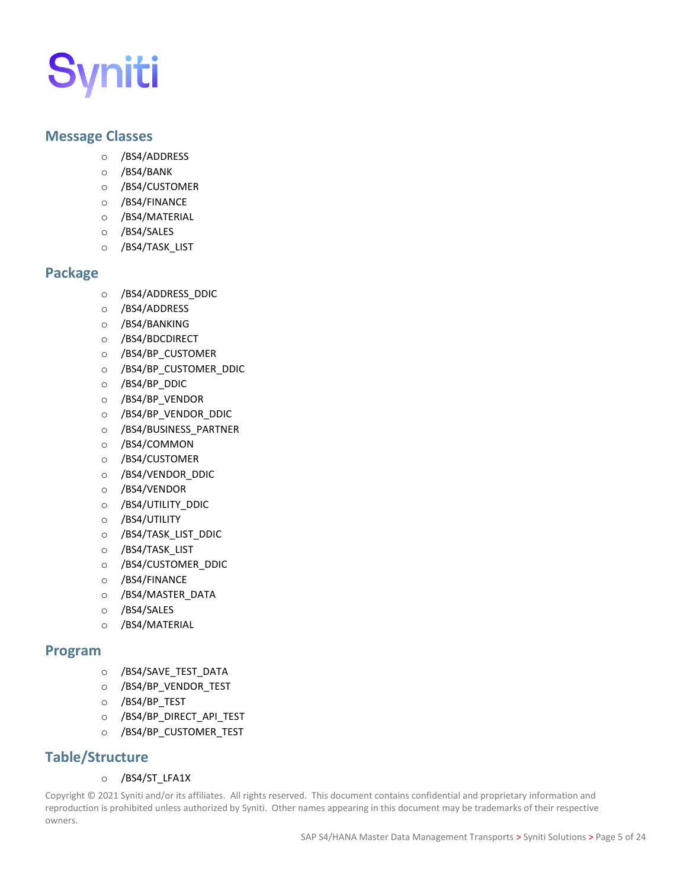#### <span id="page-10-0"></span>**Message Classes**

- o /BS4/ADDRESS
- o /BS4/BANK
- o /BS4/CUSTOMER
- o /BS4/FINANCE
- o /BS4/MATERIAL
- o /BS4/SALES
- o /BS4/TASK\_LIST

#### <span id="page-10-1"></span>**Package**

- o /BS4/ADDRESS\_DDIC
- o /BS4/ADDRESS
- o /BS4/BANKING
- o /BS4/BDCDIRECT
- o /BS4/BP\_CUSTOMER
- o /BS4/BP\_CUSTOMER\_DDIC
- o /BS4/BP\_DDIC
- o /BS4/BP\_VENDOR
- o /BS4/BP\_VENDOR\_DDIC
- o /BS4/BUSINESS\_PARTNER
- o /BS4/COMMON
- o /BS4/CUSTOMER
- o /BS4/VENDOR\_DDIC
- o /BS4/VENDOR
- o /BS4/UTILITY\_DDIC
- o /BS4/UTILITY
- o /BS4/TASK\_LIST\_DDIC
- o /BS4/TASK\_LIST
- o /BS4/CUSTOMER\_DDIC
- o /BS4/FINANCE
- o /BS4/MASTER\_DATA
- o /BS4/SALES
- o /BS4/MATERIAL

#### <span id="page-10-2"></span>**Program**

- o /BS4/SAVE\_TEST\_DATA
- o /BS4/BP\_VENDOR\_TEST
- o /BS4/BP\_TEST
- o /BS4/BP\_DIRECT\_API\_TEST
- o /BS4/BP\_CUSTOMER\_TEST

#### <span id="page-10-3"></span>**Table/Structure**

#### o /BS4/ST\_LFA1X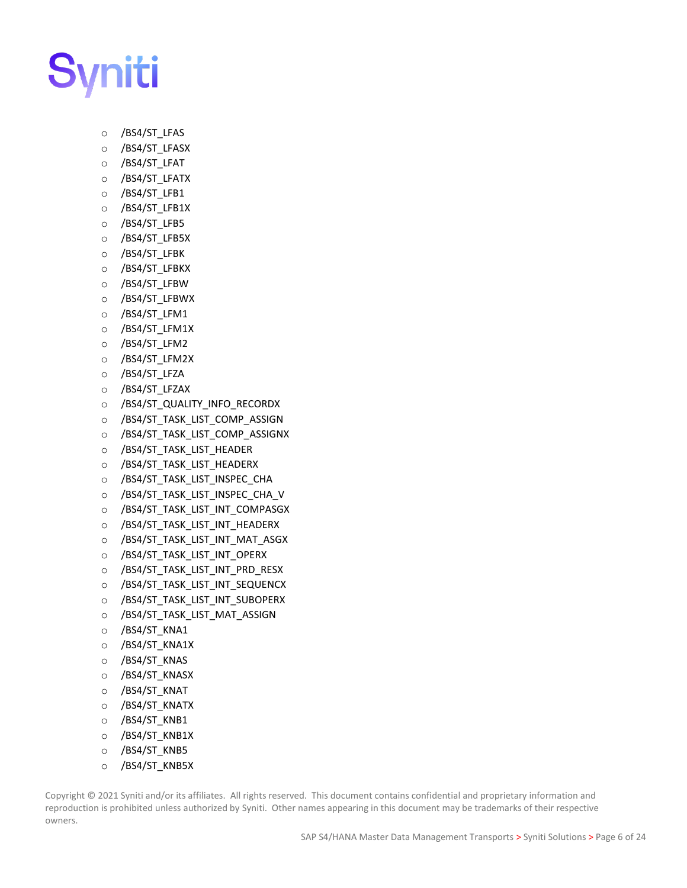

- o /BS4/ST\_LFAS
- o /BS4/ST\_LFASX
- o /BS4/ST\_LFAT
- o /BS4/ST\_LFATX
- o /BS4/ST\_LFB1
- o /BS4/ST\_LFB1X
- o /BS4/ST\_LFB5
- o /BS4/ST\_LFB5X
- o /BS4/ST\_LFBK
- o /BS4/ST\_LFBKX
- o /BS4/ST\_LFBW
- o /BS4/ST\_LFBWX
- o /BS4/ST\_LFM1
- o /BS4/ST\_LFM1X
- o /BS4/ST\_LFM2
- o /BS4/ST\_LFM2X
- o /BS4/ST\_LFZA
- o /BS4/ST\_LFZAX
- o /BS4/ST\_QUALITY\_INFO\_RECORDX
- o /BS4/ST\_TASK\_LIST\_COMP\_ASSIGN
- o /BS4/ST\_TASK\_LIST\_COMP\_ASSIGNX
- o /BS4/ST\_TASK\_LIST\_HEADER
- o /BS4/ST\_TASK\_LIST\_HEADERX
- o /BS4/ST\_TASK\_LIST\_INSPEC\_CHA
- o /BS4/ST\_TASK\_LIST\_INSPEC\_CHA\_V
- o /BS4/ST\_TASK\_LIST\_INT\_COMPASGX
- o /BS4/ST\_TASK\_LIST\_INT\_HEADERX
- o /BS4/ST\_TASK\_LIST\_INT\_MAT\_ASGX
- o /BS4/ST\_TASK\_LIST\_INT\_OPERX
- o /BS4/ST\_TASK\_LIST\_INT\_PRD\_RESX
- o /BS4/ST\_TASK\_LIST\_INT\_SEQUENCX
- o /BS4/ST\_TASK\_LIST\_INT\_SUBOPERX
- o /BS4/ST\_TASK\_LIST\_MAT\_ASSIGN
- o /BS4/ST\_KNA1
- o /BS4/ST\_KNA1X
- o /BS4/ST\_KNAS
- o /BS4/ST\_KNASX
- o /BS4/ST\_KNAT
- o /BS4/ST\_KNATX
- o /BS4/ST\_KNB1
- o /BS4/ST\_KNB1X
- o /BS4/ST\_KNB5
- o /BS4/ST\_KNB5X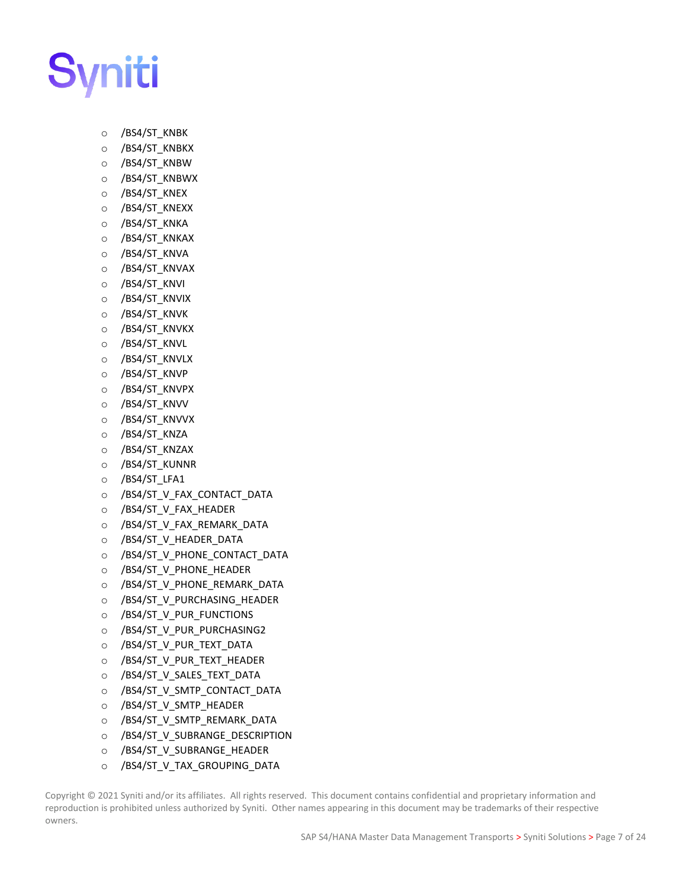

- o /BS4/ST\_KNBK
- o /BS4/ST\_KNBKX
- o /BS4/ST\_KNBW
- o /BS4/ST\_KNBWX
- o /BS4/ST\_KNEX
- o /BS4/ST\_KNEXX
- o /BS4/ST\_KNKA
- o /BS4/ST\_KNKAX
- o /BS4/ST\_KNVA
- o /BS4/ST\_KNVAX
- o /BS4/ST\_KNVI
- o /BS4/ST\_KNVIX
- o /BS4/ST\_KNVK
- o /BS4/ST\_KNVKX
- o /BS4/ST\_KNVL
- o /BS4/ST\_KNVLX
- o /BS4/ST\_KNVP
- o /BS4/ST\_KNVPX
- o /BS4/ST\_KNVV
- o /BS4/ST\_KNVVX
- o /BS4/ST\_KNZA
- o /BS4/ST\_KNZAX
- o /BS4/ST\_KUNNR
- o /BS4/ST\_LFA1
- o /BS4/ST\_V\_FAX\_CONTACT\_DATA
- o /BS4/ST\_V\_FAX\_HEADER
- o /BS4/ST\_V\_FAX\_REMARK\_DATA
- o /BS4/ST\_V\_HEADER\_DATA
- o /BS4/ST\_V\_PHONE\_CONTACT\_DATA
- o /BS4/ST\_V\_PHONE\_HEADER
- o /BS4/ST\_V\_PHONE\_REMARK\_DATA
- o /BS4/ST\_V\_PURCHASING\_HEADER
- o /BS4/ST\_V\_PUR\_FUNCTIONS
- o /BS4/ST\_V\_PUR\_PURCHASING2
- o /BS4/ST\_V\_PUR\_TEXT\_DATA
- o /BS4/ST\_V\_PUR\_TEXT\_HEADER
- o /BS4/ST\_V\_SALES\_TEXT\_DATA
- o /BS4/ST\_V\_SMTP\_CONTACT\_DATA
- o /BS4/ST\_V\_SMTP\_HEADER
- o /BS4/ST\_V\_SMTP\_REMARK\_DATA
- o /BS4/ST\_V\_SUBRANGE\_DESCRIPTION
- o /BS4/ST\_V\_SUBRANGE\_HEADER
- o /BS4/ST\_V\_TAX\_GROUPING\_DATA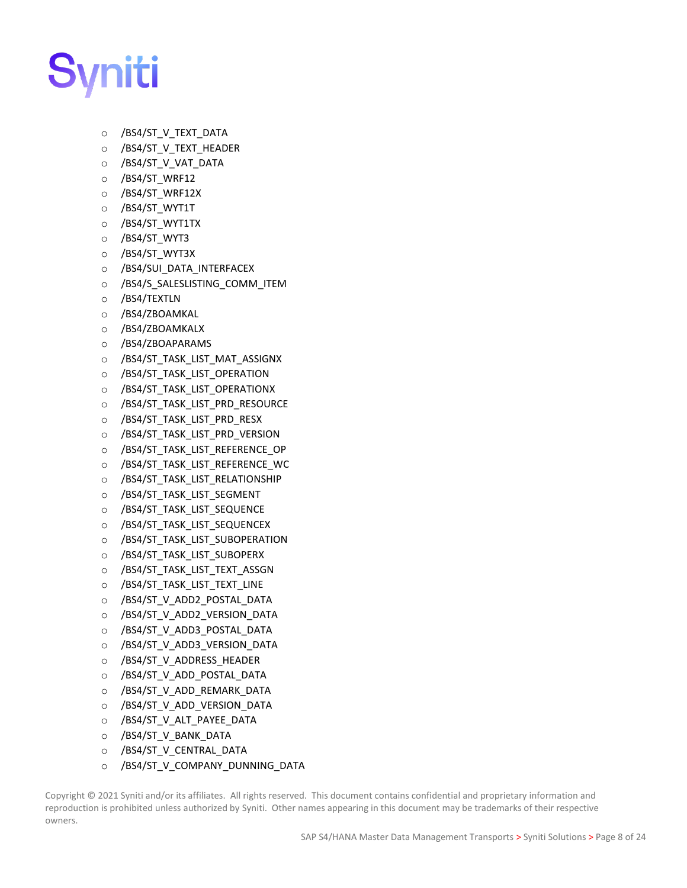

- o /BS4/ST\_V\_TEXT\_DATA
- o /BS4/ST\_V\_TEXT\_HEADER
- o /BS4/ST\_V\_VAT\_DATA
- o /BS4/ST\_WRF12
- o /BS4/ST\_WRF12X
- o /BS4/ST\_WYT1T
- o /BS4/ST\_WYT1TX
- o /BS4/ST\_WYT3
- o /BS4/ST\_WYT3X
- o /BS4/SUI\_DATA\_INTERFACEX
- o /BS4/S\_SALESLISTING\_COMM\_ITEM
- o /BS4/TEXTLN
- o /BS4/ZBOAMKAL
- o /BS4/ZBOAMKALX
- o /BS4/ZBOAPARAMS
- o /BS4/ST\_TASK\_LIST\_MAT\_ASSIGNX
- o /BS4/ST\_TASK\_LIST\_OPERATION
- o /BS4/ST\_TASK\_LIST\_OPERATIONX
- o /BS4/ST\_TASK\_LIST\_PRD\_RESOURCE
- o /BS4/ST\_TASK\_LIST\_PRD\_RESX
- o /BS4/ST\_TASK\_LIST\_PRD\_VERSION
- o /BS4/ST\_TASK\_LIST\_REFERENCE\_OP
- o /BS4/ST\_TASK\_LIST\_REFERENCE\_WC
- o /BS4/ST\_TASK\_LIST\_RELATIONSHIP
- o /BS4/ST\_TASK\_LIST\_SEGMENT
- o /BS4/ST\_TASK\_LIST\_SEQUENCE
- o /BS4/ST\_TASK\_LIST\_SEQUENCEX
- o /BS4/ST\_TASK\_LIST\_SUBOPERATION
- o /BS4/ST\_TASK\_LIST\_SUBOPERX
- o /BS4/ST\_TASK\_LIST\_TEXT\_ASSGN
- o /BS4/ST\_TASK\_LIST\_TEXT\_LINE
- o /BS4/ST\_V\_ADD2\_POSTAL\_DATA
- o /BS4/ST\_V\_ADD2\_VERSION\_DATA
- o /BS4/ST\_V\_ADD3\_POSTAL\_DATA
- o /BS4/ST\_V\_ADD3\_VERSION\_DATA
- o /BS4/ST\_V\_ADDRESS\_HEADER
- o /BS4/ST\_V\_ADD\_POSTAL\_DATA
- o /BS4/ST\_V\_ADD\_REMARK\_DATA
- o /BS4/ST\_V\_ADD\_VERSION\_DATA
- o /BS4/ST\_V\_ALT\_PAYEE\_DATA
- o /BS4/ST\_V\_BANK\_DATA
- o /BS4/ST\_V\_CENTRAL\_DATA
- o /BS4/ST\_V\_COMPANY\_DUNNING\_DATA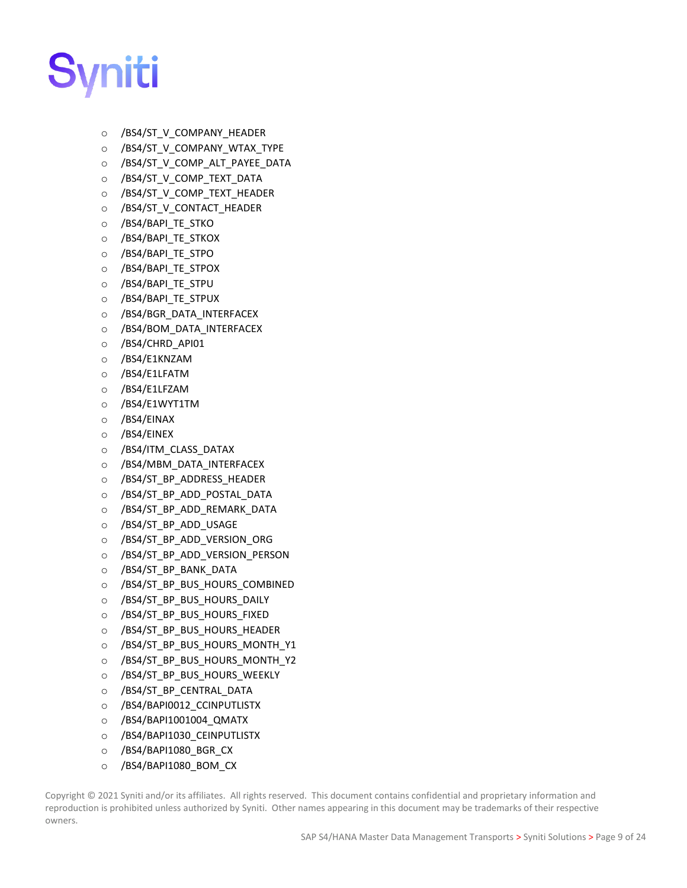

- o /BS4/ST\_V\_COMPANY\_HEADER
- o /BS4/ST\_V\_COMPANY\_WTAX\_TYPE
- o /BS4/ST\_V\_COMP\_ALT\_PAYEE\_DATA
- o /BS4/ST\_V\_COMP\_TEXT\_DATA
- o /BS4/ST\_V\_COMP\_TEXT\_HEADER
- o /BS4/ST\_V\_CONTACT\_HEADER
- o /BS4/BAPI\_TE\_STKO
- o /BS4/BAPI\_TE\_STKOX
- o /BS4/BAPI\_TE\_STPO
- o /BS4/BAPI\_TE\_STPOX
- o /BS4/BAPI\_TE\_STPU
- o /BS4/BAPI\_TE\_STPUX
- o /BS4/BGR\_DATA\_INTERFACEX
- o /BS4/BOM\_DATA\_INTERFACEX
- o /BS4/CHRD\_API01
- o /BS4/E1KNZAM
- o /BS4/E1LFATM
- o /BS4/E1LFZAM
- o /BS4/E1WYT1TM
- o /BS4/EINAX
- o /BS4/EINEX
- o /BS4/ITM\_CLASS\_DATAX
- o /BS4/MBM\_DATA\_INTERFACEX
- o /BS4/ST\_BP\_ADDRESS\_HEADER
- o /BS4/ST\_BP\_ADD\_POSTAL\_DATA
- o /BS4/ST\_BP\_ADD\_REMARK\_DATA
- o /BS4/ST\_BP\_ADD\_USAGE
- o /BS4/ST\_BP\_ADD\_VERSION\_ORG
- o /BS4/ST\_BP\_ADD\_VERSION\_PERSON
- o /BS4/ST\_BP\_BANK\_DATA
- o /BS4/ST\_BP\_BUS\_HOURS\_COMBINED
- o /BS4/ST\_BP\_BUS\_HOURS\_DAILY
- o /BS4/ST\_BP\_BUS\_HOURS\_FIXED
- o /BS4/ST\_BP\_BUS\_HOURS\_HEADER
- o /BS4/ST\_BP\_BUS\_HOURS\_MONTH\_Y1
- o /BS4/ST\_BP\_BUS\_HOURS\_MONTH\_Y2
- o /BS4/ST\_BP\_BUS\_HOURS\_WEEKLY
- o /BS4/ST\_BP\_CENTRAL\_DATA
- o /BS4/BAPI0012\_CCINPUTLISTX
- o /BS4/BAPI1001004\_QMATX
- o /BS4/BAPI1030\_CEINPUTLISTX
- o /BS4/BAPI1080\_BGR\_CX
- o /BS4/BAPI1080\_BOM\_CX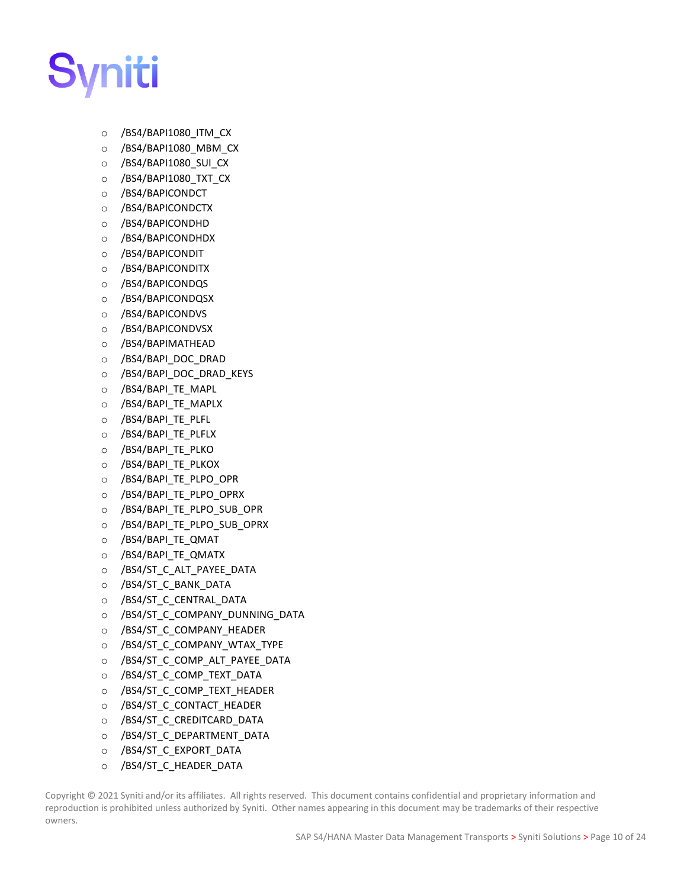

- o /BS4/BAPI1080\_ITM\_CX
- o /BS4/BAPI1080\_MBM\_CX
- o /BS4/BAPI1080\_SUI\_CX
- o /BS4/BAPI1080\_TXT\_CX
- o /BS4/BAPICONDCT
- o /BS4/BAPICONDCTX
- o /BS4/BAPICONDHD
- o /BS4/BAPICONDHDX
- o /BS4/BAPICONDIT
- o /BS4/BAPICONDITX
- o /BS4/BAPICONDQS
- o /BS4/BAPICONDQSX
- o /BS4/BAPICONDVS
- o /BS4/BAPICONDVSX
- o /BS4/BAPIMATHEAD
- o /BS4/BAPI\_DOC\_DRAD
- o /BS4/BAPI\_DOC\_DRAD\_KEYS
- o /BS4/BAPI\_TE\_MAPL
- o /BS4/BAPI\_TE\_MAPLX
- o /BS4/BAPI\_TE\_PLFL
- o /BS4/BAPI\_TE\_PLFLX
- o /BS4/BAPI\_TE\_PLKO
- o /BS4/BAPI\_TE\_PLKOX
- o /BS4/BAPI TE PLPO OPR
- o /BS4/BAPI\_TE\_PLPO\_OPRX
- o /BS4/BAPI\_TE\_PLPO\_SUB\_OPR
- o /BS4/BAPI\_TE\_PLPO\_SUB\_OPRX
- o /BS4/BAPI\_TE\_QMAT
- o /BS4/BAPI\_TE\_QMATX
- o /BS4/ST\_C\_ALT\_PAYEE\_DATA
- o /BS4/ST\_C\_BANK\_DATA
- o /BS4/ST\_C\_CENTRAL\_DATA
- o /BS4/ST\_C\_COMPANY\_DUNNING\_DATA
- o /BS4/ST\_C\_COMPANY\_HEADER
- o /BS4/ST\_C\_COMPANY\_WTAX\_TYPE
- o /BS4/ST\_C\_COMP\_ALT\_PAYEE\_DATA
- o /BS4/ST\_C\_COMP\_TEXT\_DATA
- o /BS4/ST\_C\_COMP\_TEXT\_HEADER
- o /BS4/ST\_C\_CONTACT\_HEADER
- o /BS4/ST\_C\_CREDITCARD\_DATA
- o /BS4/ST\_C\_DEPARTMENT\_DATA
- o /BS4/ST\_C\_EXPORT\_DATA
- o /BS4/ST C HEADER DATA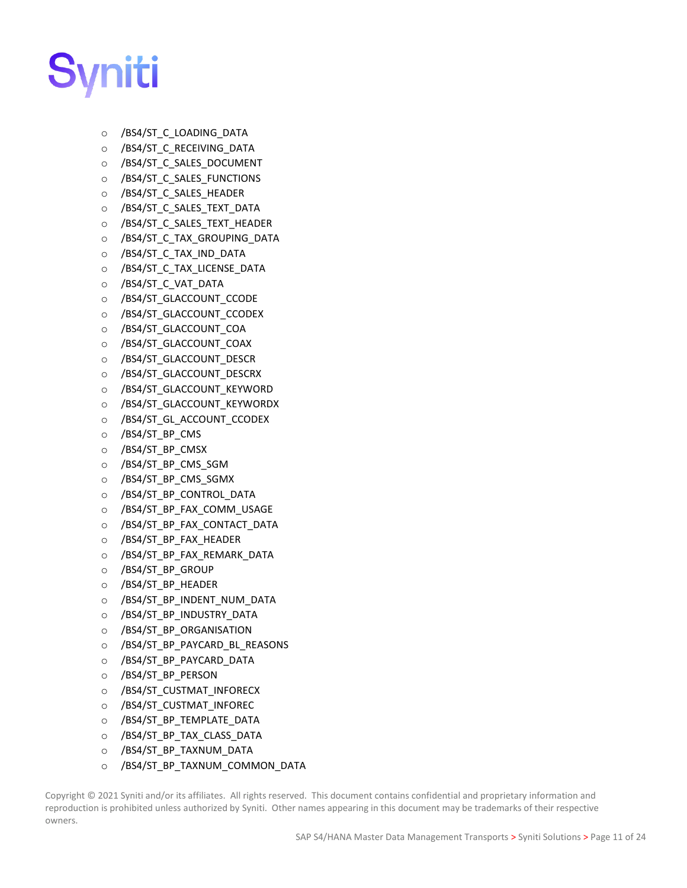

- o /BS4/ST\_C\_LOADING\_DATA
- o /BS4/ST\_C\_RECEIVING\_DATA
- o /BS4/ST\_C\_SALES\_DOCUMENT
- o /BS4/ST\_C\_SALES\_FUNCTIONS
- o /BS4/ST\_C\_SALES\_HEADER
- o /BS4/ST\_C\_SALES\_TEXT\_DATA
- o /BS4/ST\_C\_SALES\_TEXT\_HEADER
- o /BS4/ST\_C\_TAX\_GROUPING\_DATA
- o /BS4/ST\_C\_TAX\_IND\_DATA
- o /BS4/ST\_C\_TAX\_LICENSE\_DATA
- o /BS4/ST\_C\_VAT\_DATA
- o /BS4/ST\_GLACCOUNT\_CCODE
- o /BS4/ST\_GLACCOUNT\_CCODEX
- o /BS4/ST\_GLACCOUNT\_COA
- o /BS4/ST\_GLACCOUNT\_COAX
- o /BS4/ST\_GLACCOUNT\_DESCR
- o /BS4/ST\_GLACCOUNT\_DESCRX
- o /BS4/ST\_GLACCOUNT\_KEYWORD
- o /BS4/ST\_GLACCOUNT\_KEYWORDX
- o /BS4/ST\_GL\_ACCOUNT\_CCODEX
- o /BS4/ST\_BP\_CMS
- o /BS4/ST\_BP\_CMSX
- o /BS4/ST\_BP\_CMS\_SGM
- o /BS4/ST\_BP\_CMS\_SGMX
- o /BS4/ST\_BP\_CONTROL\_DATA
- o /BS4/ST\_BP\_FAX\_COMM\_USAGE
- o /BS4/ST\_BP\_FAX\_CONTACT\_DATA
- o /BS4/ST\_BP\_FAX\_HEADER
- o /BS4/ST\_BP\_FAX\_REMARK\_DATA
- o /BS4/ST\_BP\_GROUP
- o /BS4/ST\_BP\_HEADER
- o /BS4/ST\_BP\_INDENT\_NUM\_DATA
- o /BS4/ST\_BP\_INDUSTRY\_DATA
- o /BS4/ST\_BP\_ORGANISATION
- o /BS4/ST\_BP\_PAYCARD\_BL\_REASONS
- o /BS4/ST\_BP\_PAYCARD\_DATA
- o /BS4/ST\_BP\_PERSON
- o /BS4/ST\_CUSTMAT\_INFORECX
- o /BS4/ST\_CUSTMAT\_INFOREC
- o /BS4/ST\_BP\_TEMPLATE\_DATA
- o /BS4/ST\_BP\_TAX\_CLASS\_DATA
- o /BS4/ST\_BP\_TAXNUM\_DATA
- o /BS4/ST\_BP\_TAXNUM\_COMMON\_DATA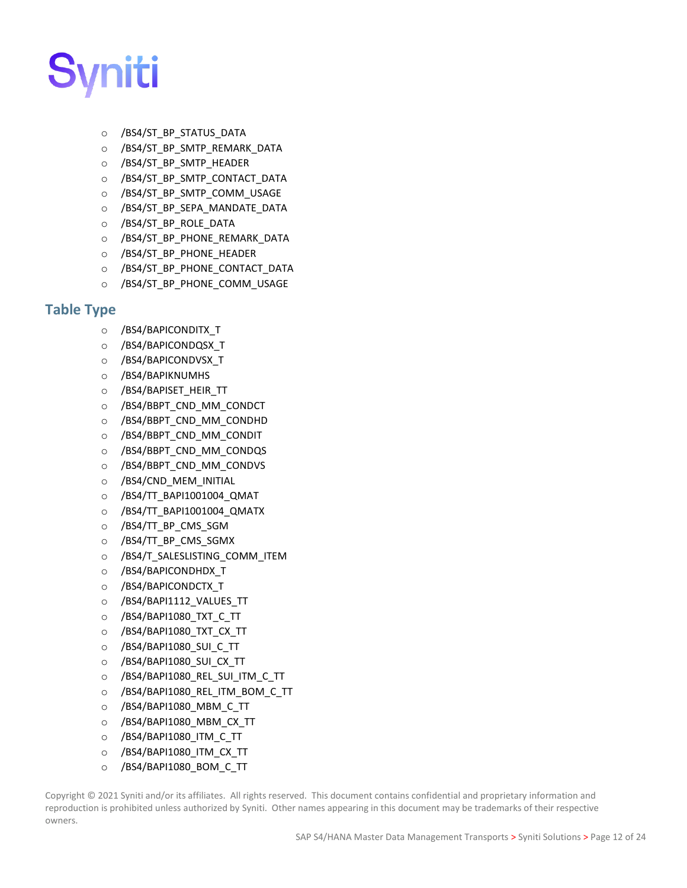

- o /BS4/ST\_BP\_STATUS\_DATA
- o /BS4/ST\_BP\_SMTP\_REMARK\_DATA
- o /BS4/ST\_BP\_SMTP\_HEADER
- o /BS4/ST\_BP\_SMTP\_CONTACT\_DATA
- o /BS4/ST\_BP\_SMTP\_COMM\_USAGE
- o /BS4/ST\_BP\_SEPA\_MANDATE\_DATA
- o /BS4/ST\_BP\_ROLE\_DATA
- o /BS4/ST\_BP\_PHONE\_REMARK\_DATA
- o /BS4/ST\_BP\_PHONE\_HEADER
- o /BS4/ST\_BP\_PHONE\_CONTACT\_DATA
- o /BS4/ST\_BP\_PHONE\_COMM\_USAGE

#### <span id="page-17-0"></span>**Table Type**

- o /BS4/BAPICONDITX\_T
- o /BS4/BAPICONDQSX\_T
- o /BS4/BAPICONDVSX\_T
- o /BS4/BAPIKNUMHS
- o /BS4/BAPISET\_HEIR\_TT
- o /BS4/BBPT\_CND\_MM\_CONDCT
- o /BS4/BBPT\_CND\_MM\_CONDHD
- o /BS4/BBPT\_CND\_MM\_CONDIT
- o /BS4/BBPT\_CND\_MM\_CONDQS
- o /BS4/BBPT\_CND\_MM\_CONDVS
- o /BS4/CND\_MEM\_INITIAL
- o /BS4/TT\_BAPI1001004\_QMAT
- o /BS4/TT\_BAPI1001004\_QMATX
- o /BS4/TT\_BP\_CMS\_SGM
- o /BS4/TT\_BP\_CMS\_SGMX
- o /BS4/T\_SALESLISTING\_COMM\_ITEM
- o /BS4/BAPICONDHDX\_T
- o /BS4/BAPICONDCTX\_T
- o /BS4/BAPI1112\_VALUES\_TT
- o /BS4/BAPI1080\_TXT\_C\_TT
- o /BS4/BAPI1080\_TXT\_CX\_TT
- o /BS4/BAPI1080\_SUI\_C\_TT
- o /BS4/BAPI1080\_SUI\_CX\_TT
- o /BS4/BAPI1080\_REL\_SUI\_ITM\_C\_TT
- o /BS4/BAPI1080\_REL\_ITM\_BOM\_C\_TT
- o /BS4/BAPI1080\_MBM\_C\_TT
- o /BS4/BAPI1080\_MBM\_CX\_TT
- o /BS4/BAPI1080\_ITM\_C\_TT
- o /BS4/BAPI1080\_ITM\_CX\_TT
- o /BS4/BAPI1080\_BOM\_C\_TT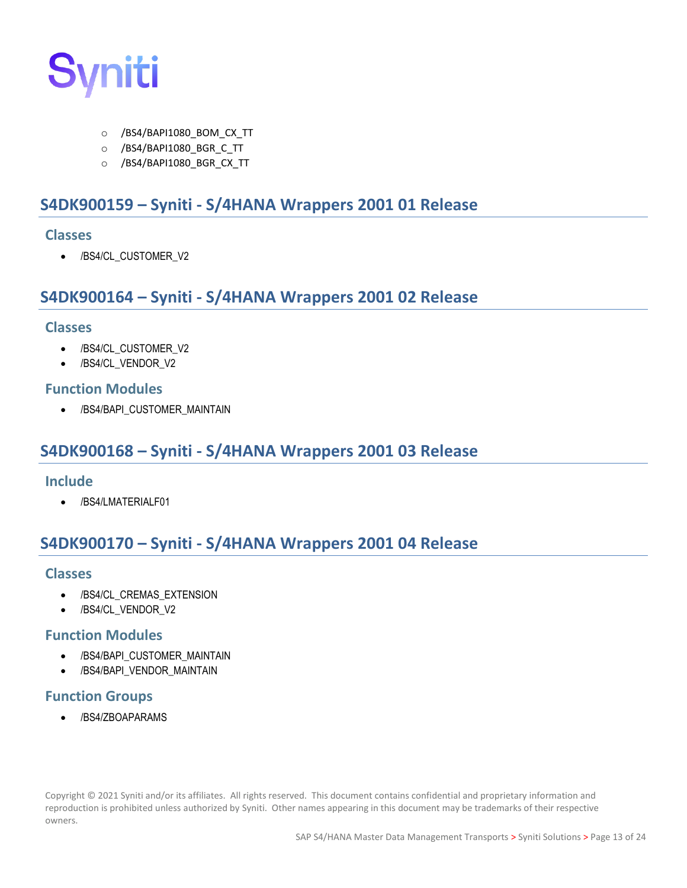

- o /BS4/BAPI1080\_BOM\_CX\_TT
- o /BS4/BAPI1080\_BGR\_C\_TT
- o /BS4/BAPI1080\_BGR\_CX\_TT

### <span id="page-18-0"></span>**S4DK900159 – Syniti - S/4HANA Wrappers 2001 01 Release**

#### <span id="page-18-1"></span>**Classes**

• /BS4/CL\_CUSTOMER\_V2

# <span id="page-18-2"></span>**S4DK900164 – Syniti - S/4HANA Wrappers 2001 02 Release**

#### <span id="page-18-3"></span>**Classes**

- /BS4/CL\_CUSTOMER\_V2
- /BS4/CL\_VENDOR\_V2

#### <span id="page-18-4"></span>**Function Modules**

• /BS4/BAPI\_CUSTOMER\_MAINTAIN

# <span id="page-18-5"></span>**S4DK900168 – Syniti - S/4HANA Wrappers 2001 03 Release**

#### <span id="page-18-6"></span>**Include**

• /BS4/LMATERIALF01

# <span id="page-18-7"></span>**S4DK900170 – Syniti - S/4HANA Wrappers 2001 04 Release**

#### <span id="page-18-8"></span>**Classes**

- /BS4/CL\_CREMAS\_EXTENSION
- /BS4/CL\_VENDOR\_V2

#### <span id="page-18-9"></span>**Function Modules**

- /BS4/BAPI\_CUSTOMER\_MAINTAIN
- /BS4/BAPI\_VENDOR\_MAINTAIN

#### <span id="page-18-10"></span>**Function Groups**

• /BS4/ZBOAPARAMS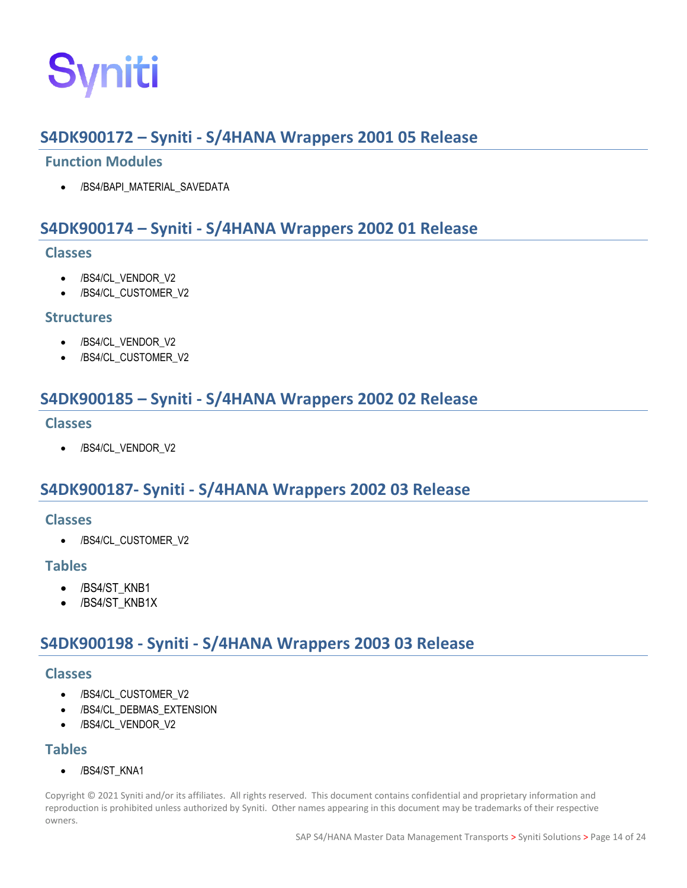

# <span id="page-19-0"></span>**S4DK900172 – Syniti - S/4HANA Wrappers 2001 05 Release**

#### <span id="page-19-1"></span>**Function Modules**

/BS4/BAPI\_MATERIAL\_SAVEDATA

# <span id="page-19-2"></span>**S4DK900174 – Syniti - S/4HANA Wrappers 2002 01 Release**

#### <span id="page-19-3"></span>**Classes**

- /BS4/CL\_VENDOR\_V2
- /BS4/CL\_CUSTOMER\_V2

#### <span id="page-19-4"></span>**Structures**

- /BS4/CL\_VENDOR\_V2
- /BS4/CL\_CUSTOMER\_V2

# <span id="page-19-5"></span>**S4DK900185 – Syniti - S/4HANA Wrappers 2002 02 Release**

#### <span id="page-19-6"></span>**Classes**

• /BS4/CL\_VENDOR\_V2

# <span id="page-19-7"></span>**S4DK900187- Syniti - S/4HANA Wrappers 2002 03 Release**

#### <span id="page-19-8"></span>**Classes**

• /BS4/CL\_CUSTOMER\_V2

#### <span id="page-19-9"></span>**Tables**

- /BS4/ST\_KNB1
- /BS4/ST\_KNB1X

# <span id="page-19-10"></span>**S4DK900198 - Syniti - S/4HANA Wrappers 2003 03 Release**

#### <span id="page-19-11"></span>**Classes**

- /BS4/CL\_CUSTOMER\_V2
- /BS4/CL\_DEBMAS\_EXTENSION
- /BS4/CL\_VENDOR\_V2

#### <span id="page-19-12"></span>**Tables**

• /BS4/ST\_KNA1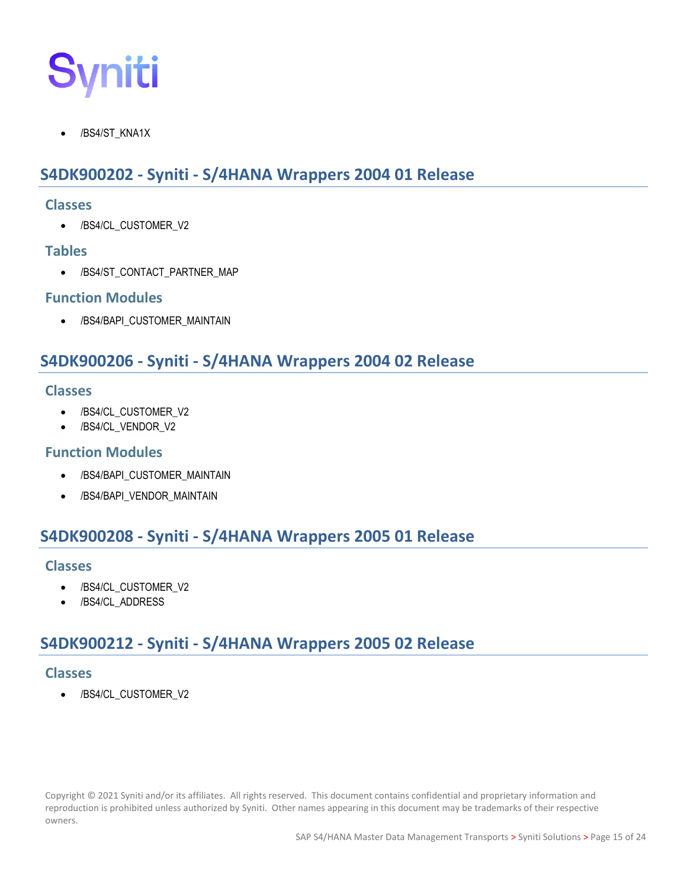

/BS4/ST\_KNA1X

# <span id="page-20-0"></span>**S4DK900202 - Syniti - S/4HANA Wrappers 2004 01 Release**

#### <span id="page-20-1"></span>**Classes**

• /BS4/CL\_CUSTOMER\_V2

#### <span id="page-20-2"></span>**Tables**

• /BS4/ST\_CONTACT\_PARTNER\_MAP

#### <span id="page-20-3"></span>**Function Modules**

• /BS4/BAPI\_CUSTOMER\_MAINTAIN

# <span id="page-20-4"></span>**S4DK900206 - Syniti - S/4HANA Wrappers 2004 02 Release**

#### <span id="page-20-5"></span>**Classes**

- /BS4/CL\_CUSTOMER\_V2
- /BS4/CL\_VENDOR\_V2

#### <span id="page-20-6"></span>**Function Modules**

- /BS4/BAPI\_CUSTOMER\_MAINTAIN
- /BS4/BAPI\_VENDOR\_MAINTAIN

# <span id="page-20-7"></span>**S4DK900208 - Syniti - S/4HANA Wrappers 2005 01 Release**

#### <span id="page-20-8"></span>**Classes**

- /BS4/CL\_CUSTOMER\_V2
- /BS4/CL\_ADDRESS

# <span id="page-20-9"></span>**S4DK900212 - Syniti - S/4HANA Wrappers 2005 02 Release**

#### <span id="page-20-10"></span>**Classes**

• /BS4/CL\_CUSTOMER\_V2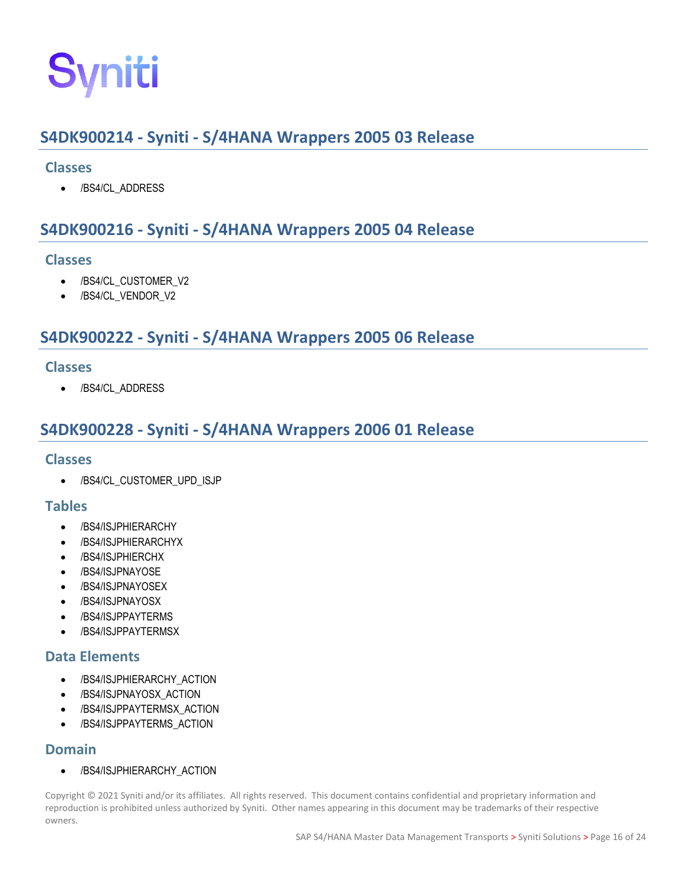# <span id="page-21-0"></span>**S4DK900214 - Syniti - S/4HANA Wrappers 2005 03 Release**

#### <span id="page-21-1"></span>**Classes**

• /BS4/CL\_ADDRESS

# <span id="page-21-2"></span>**S4DK900216 - Syniti - S/4HANA Wrappers 2005 04 Release**

#### <span id="page-21-3"></span>**Classes**

- /BS4/CL\_CUSTOMER\_V2
- /BS4/CL\_VENDOR\_V2

# <span id="page-21-4"></span>**S4DK900222 - Syniti - S/4HANA Wrappers 2005 06 Release**

#### <span id="page-21-5"></span>**Classes**

• /BS4/CL\_ADDRESS

# <span id="page-21-6"></span>**S4DK900228 - Syniti - S/4HANA Wrappers 2006 01 Release**

#### <span id="page-21-7"></span>**Classes**

• /BS4/CL\_CUSTOMER\_UPD\_ISJP

#### <span id="page-21-8"></span>**Tables**

- /BS4/ISJPHIERARCHY
- /BS4/ISJPHIERARCHYX
- /BS4/ISJPHIERCHX
- /BS4/ISJPNAYOSE
- /BS4/ISJPNAYOSEX
- /BS4/ISJPNAYOSX
- /BS4/ISJPPAYTERMS
- /BS4/ISJPPAYTERMSX

#### <span id="page-21-9"></span>**Data Elements**

- /BS4/ISJPHIERARCHY\_ACTION
- /BS4/ISJPNAYOSX\_ACTION
- /BS4/ISJPPAYTERMSX\_ACTION
- /BS4/ISJPPAYTERMS\_ACTION

#### <span id="page-21-10"></span>**Domain**

• /BS4/ISJPHIERARCHY\_ACTION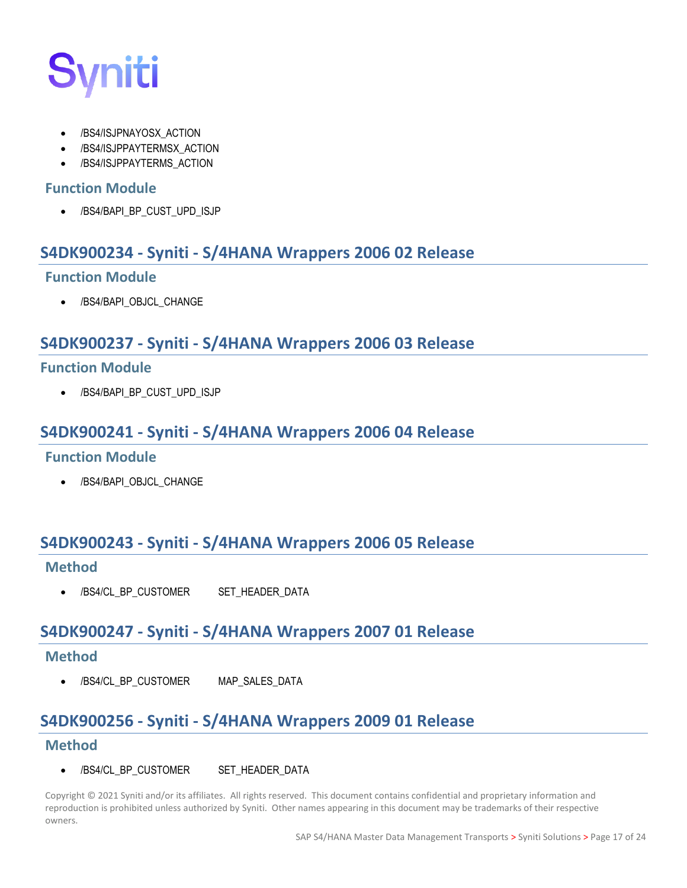

- /BS4/ISJPNAYOSX\_ACTION
- /BS4/ISJPPAYTERMSX\_ACTION
- /BS4/ISJPPAYTERMS\_ACTION

#### <span id="page-22-0"></span>**Function Module**

• /BS4/BAPI\_BP\_CUST\_UPD\_ISJP

### <span id="page-22-1"></span>**S4DK900234 - Syniti - S/4HANA Wrappers 2006 02 Release**

#### <span id="page-22-2"></span>**Function Module**

/BS4/BAPI\_OBJCL\_CHANGE

# <span id="page-22-3"></span>**S4DK900237 - Syniti - S/4HANA Wrappers 2006 03 Release**

#### <span id="page-22-4"></span>**Function Module**

• /BS4/BAPI\_BP\_CUST\_UPD\_ISJP

### <span id="page-22-5"></span>**S4DK900241 - Syniti - S/4HANA Wrappers 2006 04 Release**

#### <span id="page-22-6"></span>**Function Module**

/BS4/BAPI\_OBJCL\_CHANGE

# <span id="page-22-7"></span>**S4DK900243 - Syniti - S/4HANA Wrappers 2006 05 Release**

#### <span id="page-22-8"></span>**Method**

/BS4/CL\_BP\_CUSTOMER SET\_HEADER\_DATA

# <span id="page-22-9"></span>**S4DK900247 - Syniti - S/4HANA Wrappers 2007 01 Release**

#### <span id="page-22-10"></span>**Method**

• /BS4/CL\_BP\_CUSTOMER MAP\_SALES\_DATA

# <span id="page-22-11"></span>**S4DK900256 - Syniti - S/4HANA Wrappers 2009 01 Release**

#### <span id="page-22-12"></span>**Method**

/BS4/CL\_BP\_CUSTOMER SET\_HEADER\_DATA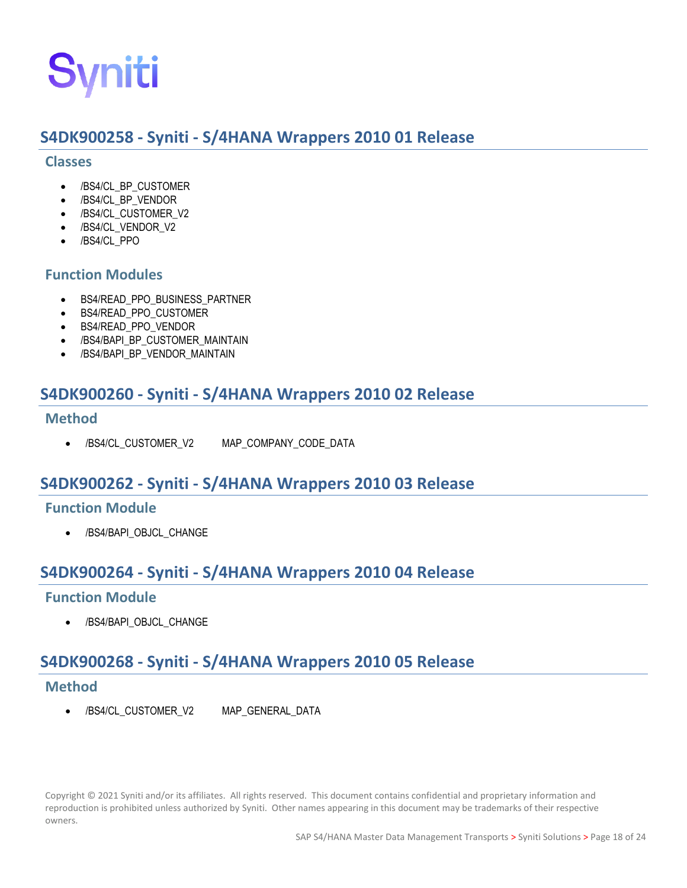# <span id="page-23-0"></span>**S4DK900258 - Syniti - S/4HANA Wrappers 2010 01 Release**

#### <span id="page-23-1"></span>**Classes**

- /BS4/CL\_BP\_CUSTOMER
- /BS4/CL\_BP\_VENDOR
- /BS4/CL\_CUSTOMER\_V2
- /BS4/CL\_VENDOR\_V2
- /BS4/CL\_PPO

#### <span id="page-23-2"></span>**Function Modules**

- BS4/READ\_PPO\_BUSINESS\_PARTNER
- BS4/READ\_PPO\_CUSTOMER
- BS4/READ\_PPO\_VENDOR
- /BS4/BAPI\_BP\_CUSTOMER\_MAINTAIN
- /BS4/BAPI\_BP\_VENDOR\_MAINTAIN

# <span id="page-23-3"></span>**S4DK900260 - Syniti - S/4HANA Wrappers 2010 02 Release**

#### <span id="page-23-4"></span>**Method**

• /BS4/CL\_CUSTOMER\_V2 MAP\_COMPANY\_CODE\_DATA

# <span id="page-23-5"></span>**S4DK900262 - Syniti - S/4HANA Wrappers 2010 03 Release**

#### <span id="page-23-6"></span>**Function Module**

• /BS4/BAPI\_OBJCL\_CHANGE

# <span id="page-23-7"></span>**S4DK900264 - Syniti - S/4HANA Wrappers 2010 04 Release**

#### <span id="page-23-8"></span>**Function Module**

• /BS4/BAPI\_OBJCL\_CHANGE

# <span id="page-23-9"></span>**S4DK900268 - Syniti - S/4HANA Wrappers 2010 05 Release**

#### <span id="page-23-10"></span>**Method**

• /BS4/CL\_CUSTOMER\_V2 MAP\_GENERAL\_DATA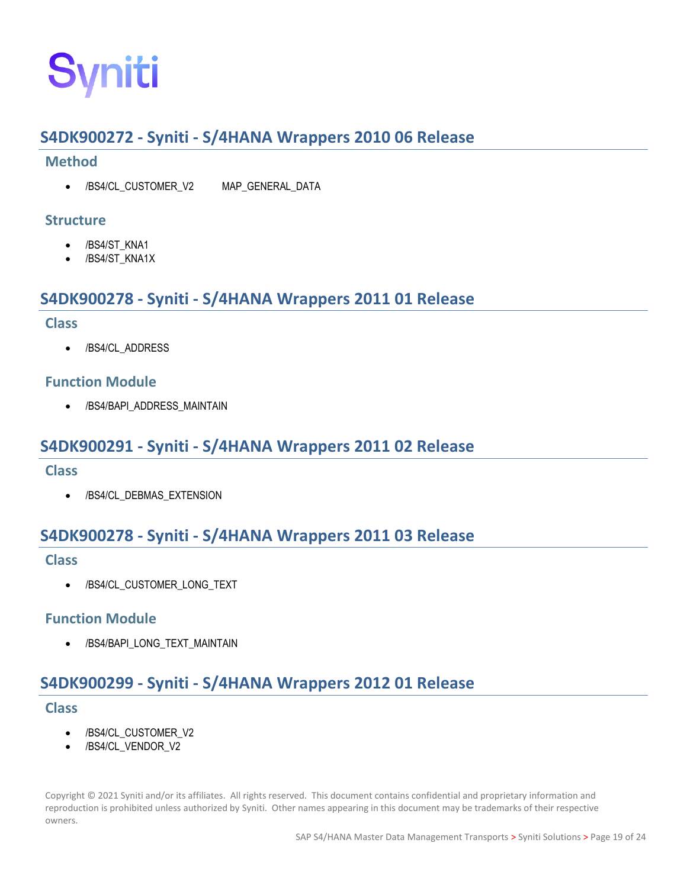# <span id="page-24-0"></span>**S4DK900272 - Syniti - S/4HANA Wrappers 2010 06 Release**

#### <span id="page-24-1"></span>**Method**

• /BS4/CL\_CUSTOMER\_V2 MAP\_GENERAL\_DATA

#### <span id="page-24-2"></span>**Structure**

- /BS4/ST\_KNA1
- /BS4/ST\_KNA1X

# <span id="page-24-3"></span>**S4DK900278 - Syniti - S/4HANA Wrappers 2011 01 Release**

#### <span id="page-24-4"></span>**Class**

• /BS4/CL\_ADDRESS

#### <span id="page-24-5"></span>**Function Module**

• /BS4/BAPI\_ADDRESS\_MAINTAIN

# <span id="page-24-6"></span>**S4DK900291 - Syniti - S/4HANA Wrappers 2011 02 Release**

#### <span id="page-24-7"></span>**Class**

• /BS4/CL\_DEBMAS\_EXTENSION

# <span id="page-24-8"></span>**S4DK900278 - Syniti - S/4HANA Wrappers 2011 03 Release**

#### <span id="page-24-9"></span>**Class**

• /BS4/CL\_CUSTOMER\_LONG\_TEXT

#### <span id="page-24-10"></span>**Function Module**

• /BS4/BAPI\_LONG\_TEXT\_MAINTAIN

# <span id="page-24-11"></span>**S4DK900299 - Syniti - S/4HANA Wrappers 2012 01 Release**

#### <span id="page-24-12"></span>**Class**

- /BS4/CL\_CUSTOMER\_V2
- /BS4/CL\_VENDOR\_V2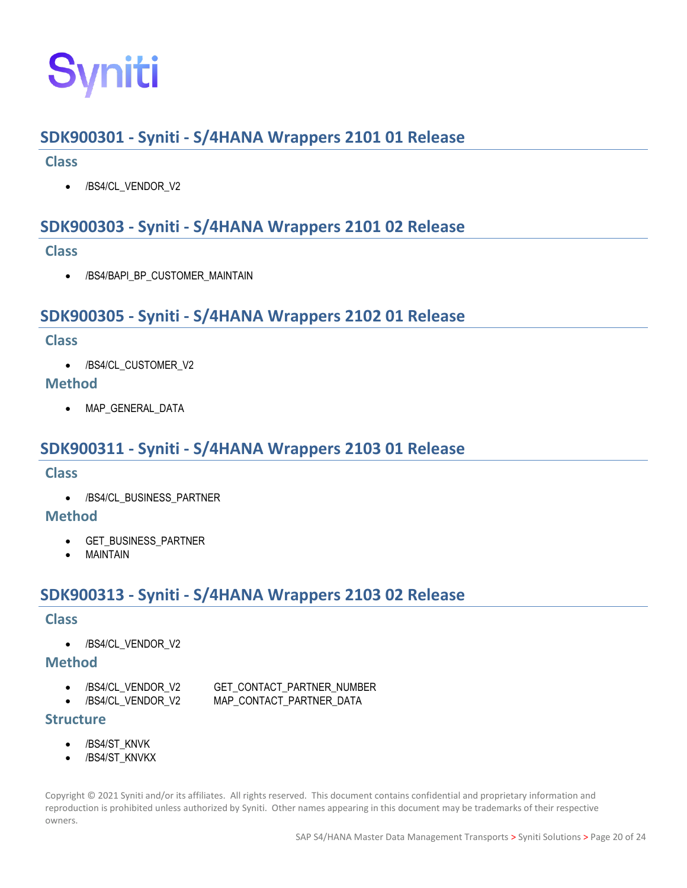# <span id="page-25-0"></span>**SDK900301 - Syniti - S/4HANA Wrappers 2101 01 Release**

#### <span id="page-25-1"></span>**Class**

• /BS4/CL\_VENDOR\_V2

# <span id="page-25-2"></span>**SDK900303 - Syniti - S/4HANA Wrappers 2101 02 Release**

#### <span id="page-25-3"></span>**Class**

• /BS4/BAPI\_BP\_CUSTOMER\_MAINTAIN

# <span id="page-25-4"></span>**SDK900305 - Syniti - S/4HANA Wrappers 2102 01 Release**

#### <span id="page-25-5"></span>**Class**

• /BS4/CL\_CUSTOMER\_V2

#### <span id="page-25-6"></span>**Method**

• MAP GENERAL DATA

# <span id="page-25-7"></span>**SDK900311 - Syniti - S/4HANA Wrappers 2103 01 Release**

#### <span id="page-25-8"></span>**Class**

• /BS4/CL\_BUSINESS\_PARTNER

#### <span id="page-25-9"></span>**Method**

- GET BUSINESS PARTNER
- **MAINTAIN**

# <span id="page-25-10"></span>**SDK900313 - Syniti - S/4HANA Wrappers 2103 02 Release**

#### <span id="page-25-11"></span>**Class**

• /BS4/CL\_VENDOR\_V2

#### <span id="page-25-12"></span>**Method**

- /BS4/CL\_VENDOR\_V2 GET\_CONTACT\_PARTNER\_NUMBER
- /BS4/CL\_VENDOR\_V2 MAP\_CONTACT\_PARTNER\_DATA

#### <span id="page-25-13"></span>**Structure**

- /BS4/ST\_KNVK
- /BS4/ST\_KNVKX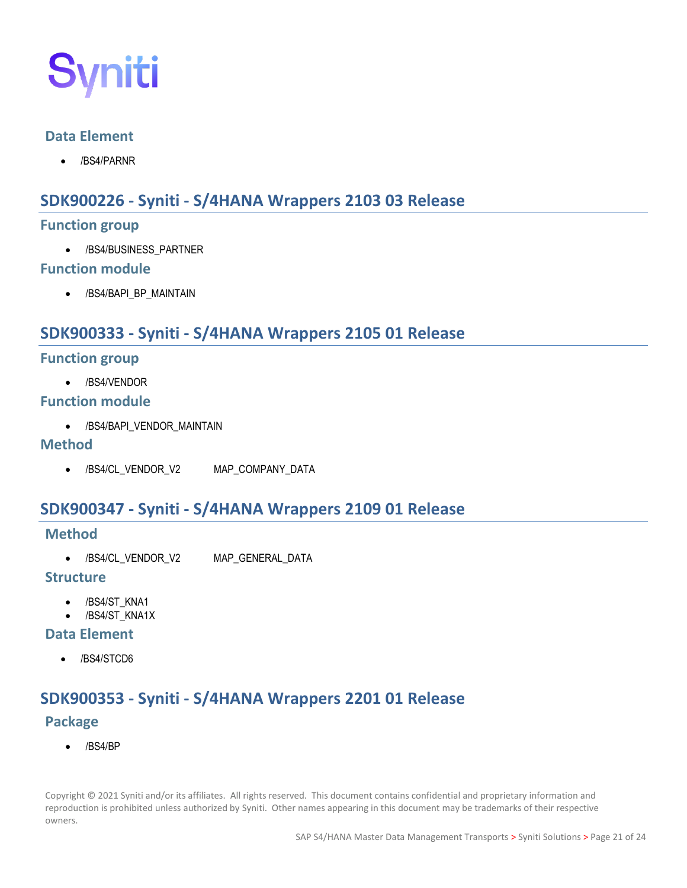

#### <span id="page-26-0"></span>**Data Element**

• /BS4/PARNR

# <span id="page-26-1"></span>**SDK900226 - Syniti - S/4HANA Wrappers 2103 03 Release**

#### <span id="page-26-2"></span>**Function group**

• /BS4/BUSINESS\_PARTNER

#### <span id="page-26-3"></span>**Function module**

• /BS4/BAPI\_BP\_MAINTAIN

# <span id="page-26-4"></span>**SDK900333 - Syniti - S/4HANA Wrappers 2105 01 Release**

#### <span id="page-26-5"></span>**Function group**

• /BS4/VENDOR

#### <span id="page-26-6"></span>**Function module**

• /BS4/BAPI\_VENDOR\_MAINTAIN

#### <span id="page-26-7"></span>**Method**

• /BS4/CL\_VENDOR\_V2 MAP\_COMPANY\_DATA

# <span id="page-26-8"></span>**SDK900347 - Syniti - S/4HANA Wrappers 2109 01 Release**

#### <span id="page-26-9"></span>**Method**

• /BS4/CL\_VENDOR\_V2 MAP\_GENERAL\_DATA

#### <span id="page-26-10"></span>**Structure**

- /BS4/ST\_KNA1
- /BS4/ST\_KNA1X

#### <span id="page-26-11"></span>**Data Element**

• /BS4/STCD6

# **SDK900353 - Syniti - S/4HANA Wrappers 2201 01 Release**

#### **Package**

• /BS4/BP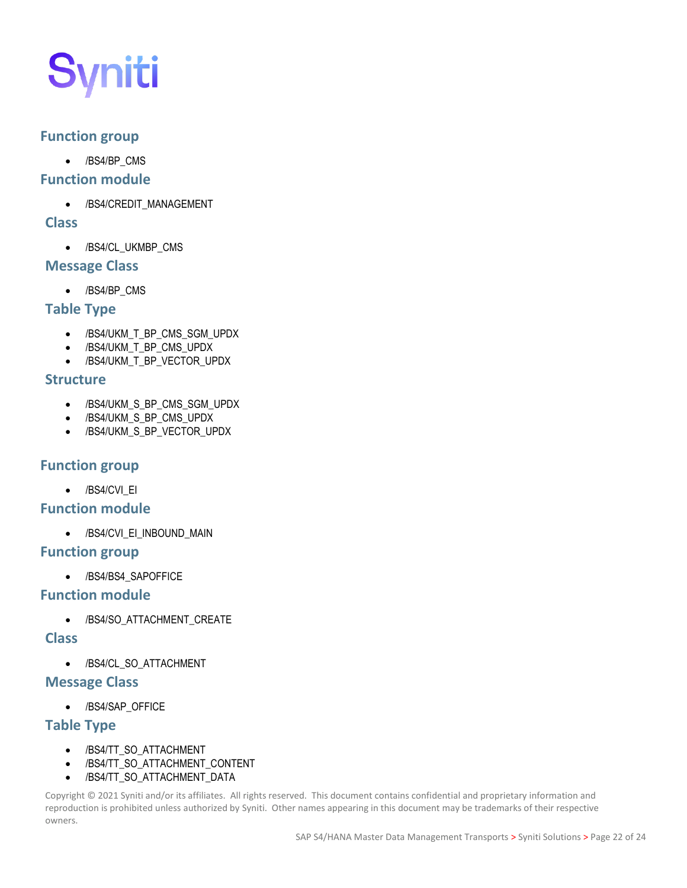### **Function group**

• /BS4/BP\_CMS

#### **Function module**

• /BS4/CREDIT\_MANAGEMENT

#### **Class**

• /BS4/CL\_UKMBP\_CMS

#### **Message Class**

• /BS4/BP\_CMS

### **Table Type**

- /BS4/UKM\_T\_BP\_CMS\_SGM\_UPDX
- /BS4/UKM\_T\_BP\_CMS\_UPDX
- /BS4/UKM\_T\_BP\_VECTOR\_UPDX

#### **Structure**

- /BS4/UKM\_S\_BP\_CMS\_SGM\_UPDX
- /BS4/UKM\_S\_BP\_CMS\_UPDX
- /BS4/UKM\_S\_BP\_VECTOR\_UPDX

#### **Function group**

• /BS4/CVI\_EI

#### **Function module**

• /BS4/CVI\_EI\_INBOUND\_MAIN

#### **Function group**

• /BS4/BS4\_SAPOFFICE

#### **Function module**

• /BS4/SO\_ATTACHMENT\_CREATE

#### **Class**

• /BS4/CL\_SO\_ATTACHMENT

#### **Message Class**

• /BS4/SAP\_OFFICE

#### **Table Type**

- /BS4/TT\_SO\_ATTACHMENT
- /BS4/TT\_SO\_ATTACHMENT\_CONTENT
- /BS4/TT\_SO\_ATTACHMENT\_DATA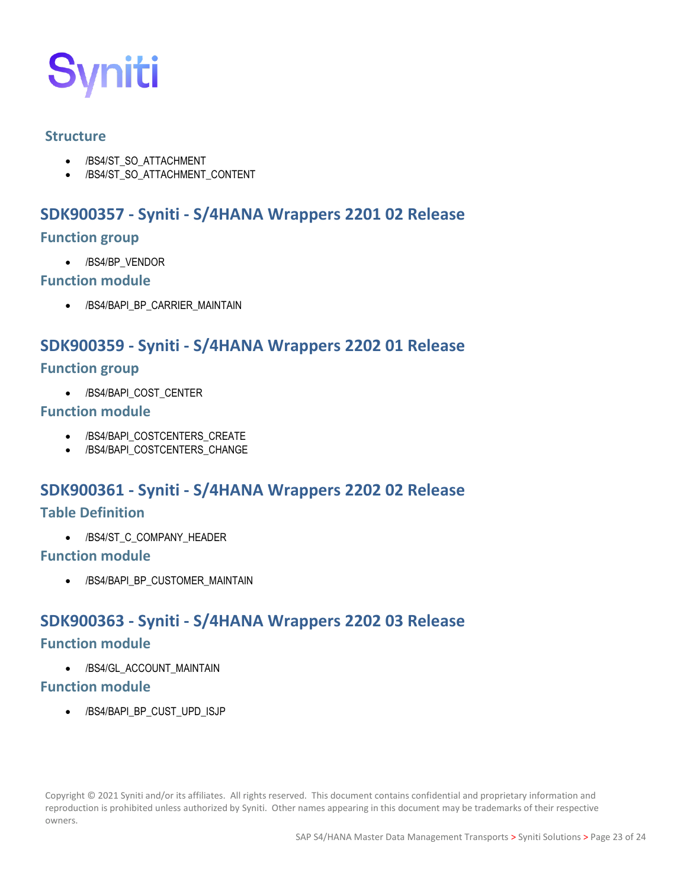

#### **Structure**

- /BS4/ST\_SO\_ATTACHMENT
- /BS4/ST\_SO\_ATTACHMENT\_CONTENT

# **SDK900357 - Syniti - S/4HANA Wrappers 2201 02 Release**

#### **Function group**

• /BS4/BP\_VENDOR

#### **Function module**

• /BS4/BAPI\_BP\_CARRIER\_MAINTAIN

# **SDK900359 - Syniti - S/4HANA Wrappers 2202 01 Release**

#### **Function group**

• /BS4/BAPI\_COST\_CENTER

#### **Function module**

- /BS4/BAPI\_COSTCENTERS\_CREATE
- /BS4/BAPI\_COSTCENTERS\_CHANGE

# **SDK900361 - Syniti - S/4HANA Wrappers 2202 02 Release**

#### **Table Definition**

• /BS4/ST\_C\_COMPANY\_HEADER

#### **Function module**

• /BS4/BAPI\_BP\_CUSTOMER\_MAINTAIN

# **SDK900363 - Syniti - S/4HANA Wrappers 2202 03 Release**

## **Function module**

• /BS4/GL\_ACCOUNT\_MAINTAIN

#### **Function module**

• /BS4/BAPI\_BP\_CUST\_UPD\_ISJP